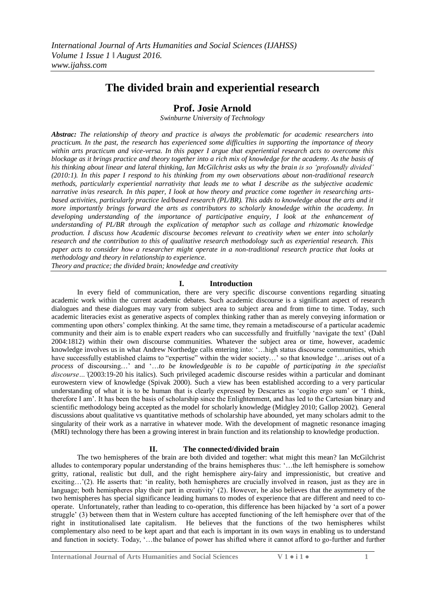# **The divided brain and experiential research**

# **Prof. Josie Arnold**

*Swinburne University of Technology*

*Abstrac: The relationship of theory and practice is always the problematic for academic researchers into practicum. In the past, the research has experienced some difficulties in supporting the importance of theory within arts practicum and vice-versa. In this paper I argue that experiential research acts to overcome this blockage as it brings practice and theory together into a rich mix of knowledge for the academy. As the basis of his thinking about linear and lateral thinking, Ian McGilchrist asks us why the brain is so 'profoundly divided' (2010:1). In this paper I respond to his thinking from my own observations about non-traditional research methods, particularly experiential narrativity that leads me to what I describe as the subjective academic narrative in/as research. In this paper, I look at how theory and practice come together in researching artsbased activities, particularly practice led/based research (PL/BR). This adds to knowledge about the arts and it more importantly brings forward the arts as contributors to scholarly knowledge within the academy. In developing understanding of the importance of participative enquiry, I look at the enhancement of understanding of PL/BR through the explication of metaphor such as collage and rhizomatic knowledge production. I discuss how Academic discourse becomes relevant to creativity when we enter into scholarly research and the contribution to this of qualitative research methodology such as experiential research. This paper acts to consider how a researcher might operate in a non-traditional research practice that looks at methodology and theory in relationship to experience.*

*Theory and practice; the divided brain; knowledge and creativity*

# **I. Introduction**

In every field of communication, there are very specific discourse conventions regarding situating academic work within the current academic debates. Such academic discourse is a significant aspect of research dialogues and these dialogues may vary from subject area to subject area and from time to time. Today, such academic literacies exist as generative aspects of complex thinking rather than as merely conveying information or commenting upon others" complex thinking. At the same time, they remain a metadiscourse of a particular academic community and their aim is to enable expert readers who can successfully and fruitfully "navigate the text" (Dahl 2004:1812) within their own discourse communities. Whatever the subject area or time, however, academic knowledge involves us in what Andrew Northedge calls entering into: "…high status discourse communities, which have successfully established claims to "expertise" within the wider society...' so that knowledge '...arises out of a *process* of discoursing…" and "…*to be knowledgeable is to be capable of participating in the specialist discourse…'*(2003:19-20 his italics). Such privileged academic discourse resides within a particular and dominant eurowestern view of knowledge (Spivak 2000). Such a view has been established according to a very particular understanding of what it is to be human that is clearly expressed by Descartes as "cogito ergo sum" or "I think, therefore I am". It has been the basis of scholarship since the Enlightenment, and has led to the Cartesian binary and scientific methodology being accepted as the model for scholarly knowledge (Midgley 2010; Gallop 2002). General discussions about qualitative vs quantitative methods of scholarship have abounded, yet many scholars admit to the singularity of their work as a narrative in whatever mode. With the development of magnetic resonance imaging (MRI) technology there has been a growing interest in brain function and its relationship to knowledge production.

#### **II. The connected/divided brain**

The two hemispheres of the brain are both divided and together: what might this mean? Ian McGilchrist alludes to contemporary popular understanding of the brains hemispheres thus: "…the left hemisphere is somehow gritty, rational, realistic but dull, and the right hemisphere airy-fairy and impressionistic, but creative and exciting...'(2). He asserts that: 'in reality, both hemispheres are crucially involved in reason, just as they are in language; both hemispheres play their part in creativity' (2). However, he also believes that the asymmetry of the two hemispheres has special significance leading humans to modes of experience that are different and need to cooperate. Unfortunately, rather than leading to co-operation, this difference has been hijacked by "a sort of a power struggle" (3) between them that in Western culture has accepted functioning of the left hemisphere over that of the right in institutionalised late capitalism. He believes that the functions of the two hemispheres whilst complementary also need to be kept apart and that each is important in its own ways in enabling us to understand and function in society. Today, "…the balance of power has shifted where it cannot afford to go-further and further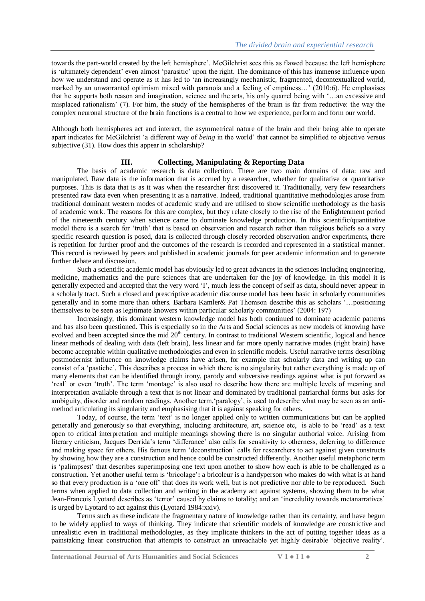towards the part-world created by the left hemisphere". McGilchrist sees this as flawed because the left hemisphere is 'ultimately dependent' even almost 'parasitic' upon the right. The dominance of this has immense influence upon how we understand and operate as it has led to "an increasingly mechanistic, fragmented, decontextualized world, marked by an unwarranted optimism mixed with paranoia and a feeling of emptiness…" (2010:6). He emphasises that he supports both reason and imagination, science and the arts, his only quarrel being with "…an excessive and misplaced rationalism" (7). For him, the study of the hemispheres of the brain is far from reductive: the way the complex neuronal structure of the brain functions is a central to how we experience, perform and form our world.

Although both hemispheres act and interact, the asymmetrical nature of the brain and their being able to operate apart indicates for McGilchrist "a different way of *being* in the world" that cannot be simplified to objective versus subjective (31). How does this appear in scholarship?

# **III. Collecting, Manipulating & Reporting Data**

The basis of academic research is data collection. There are two main domains of data: raw and manipulated. Raw data is the information that is accrued by a researcher, whether for qualitative or quantitative purposes. This is data that is as it was when the researcher first discovered it. Traditionally, very few researchers presented raw data even when presenting it as a narrative. Indeed, traditional quantitative methodologies arose from traditional dominant western modes of academic study and are utilised to show scientific methodology as the basis of academic work. The reasons for this are complex, but they relate closely to the rise of the Enlightenment period of the nineteenth century when science came to dominate knowledge production. In this scientific/quantitative model there is a search for 'truth' that is based on observation and research rather than religious beliefs so a very specific research question is posed, data is collected through closely recorded observation and/or experiments, there is repetition for further proof and the outcomes of the research is recorded and represented in a statistical manner. This record is reviewed by peers and published in academic journals for peer academic information and to generate further debate and discussion.

Such a scientific academic model has obviously led to great advances in the sciences including engineering, medicine, mathematics and the pure sciences that are undertaken for the joy of knowledge. In this model it is generally expected and accepted that the very word "I", much less the concept of self as data, should never appear in a scholarly tract. Such a closed and prescriptive academic discourse model has been basic in scholarly communities generally and in some more than others. Barbara Kamler& Pat Thomson describe this as scholars "…positioning themselves to be seen as legitimate knowers within particular scholarly communities" (2004: 197)

Increasingly, this dominant western knowledge model has both continued to dominate academic patterns and has also been questioned. This is especially so in the Arts and Social sciences as new models of knowing have evolved and been accepted since the mid  $20<sup>th</sup>$  century. In contrast to traditional Western scientific, logical and hence linear methods of dealing with data (left brain), less linear and far more openly narrative modes (right brain) have become acceptable within qualitative methodologies and even in scientific models. Useful narrative terms describing postmodernist influence on knowledge claims have arisen, for example that scholarly data and writing up can consist of a "pastiche". This describes a process in which there is no singularity but rather everything is made up of many elements that can be identified through irony, parody and subversive readings against what is put forward as "real" or even "truth". The term "montage" is also used to describe how there are multiple levels of meaning and interpretation available through a text that is not linear and dominated by traditional patriarchal forms but asks for ambiguity, disorder and random readings. Another term, 'paralogy', is used to describe what may be seen as an antimethod articulating its singularity and emphasising that it is against speaking for others.

Today, of course, the term 'text' is no longer applied only to written communications but can be applied generally and generously so that everything, including architecture, art, science etc, is able to be "read" as a text open to critical interpretation and multiple meanings showing there is no singular authorial voice. Arising from literary criticism, Jacques Derrida's term 'differance' also calls for sensitivity to otherness, deferring to difference and making space for others. His famous term "deconstruction" calls for researchers to act against given constructs by showing how they are a construction and hence could be constructed differently. Another useful metaphoric term is "palimpsest" that describes superimposing one text upon another to show how each is able to be challenged as a construction. Yet another useful term is "bricolage"**:** a bricoleur is a handyperson who makes do with what is at hand so that every production is a 'one off' that does its work well, but is not predictive nor able to be reproduced. Such terms when applied to data collection and writing in the academy act against systems, showing them to be what Jean-Francois Lyotard describes as 'terror' caused by claims to totality; and an 'incredulity towards metanarratives' is urged by Lyotard to act against this (Lyotard 1984:xxiv).

Terms such as these indicate the fragmentary nature of knowledge rather than its certainty, and have begun to be widely applied to ways of thinking. They indicate that scientific models of knowledge are constrictive and unrealistic even in traditional methodologies, as they implicate thinkers in the act of putting together ideas as a painstaking linear construction that attempts to construct an unreachable yet highly desirable "objective reality".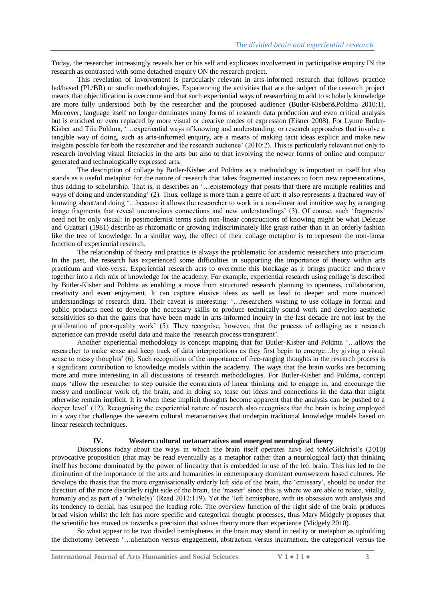Today, the researcher increasingly reveals her or his self and explicates involvement in participative enquiry IN the research as contrasted with some detached enquiry ON the research project.

This revelation of involvement is particularly relevant in arts-informed research that follows practice led/based (PL/BR) or studio methodologies. Experiencing the activities that are the subject of the research project means that objectification is overcome and that such experiential ways of researching to add to scholarly knowledge are more fully understood both by the researcher and the proposed audience (Butler-Kisber&Poldma 2010:1). Moreover, language itself no longer dominates many forms of research data production and even critical analysis but is enriched or even replaced by more visual or creative modes of expression (Eisner 2008). For Lynne Butler-Kisber and Tiiu Poldma, '... experiential ways of knowing and understanding, or research approaches that involve a tangible way of doing, such as arts-informed enquiry, are a means of making tacit ideas explicit and make new insights possible for both the researcher and the research audience" (2010:2). This is particularly relevant not only to research involving visual literacies in the arts but also to that involving the newer forms of online and computer generated and technologically expressed arts.

The description of collage by Butler-Kisber and Poldma as a methodology is important in itself but also stands as a useful metaphor for the nature of research that takes fragmented instances to form new representations, thus adding to scholarship. That is, it describes an "…epistemology that posits that there are multiple realities and ways of doing and understanding' (2). Thus, collage is more than a genre of art: it also represents a fractured way of knowing about/and doing '...because it allows the researcher to work in a non-linear and intuitive way by arranging image fragments that reveal unconscious connections and new understandings" (3). Of course, such "fragments" need not be only visual: in postmodernist terms such non-linear constructions of knowing might be what Deleuze and Guattari (1981) describe as rhizomatic or growing indiscriminately like grass rather than in an orderly fashion like the tree of knowledge. In a similar way, the effect of their collage metaphor is to represent the non-linear function of experiential research.

The relationship of theory and practice is always the problematic for academic researchers into practicum. In the past, the research has experienced some difficulties in supporting the importance of theory within arts practicum and vice-versa. Experiential research acts to overcome this blockage as it brings practice and theory together into a rich mix of knowledge for the academy. For example, experiential research using collage is described by Butler-Kisber and Poldma as enabling a move from structured research planning to openness, collaboration, creativity and even enjoyment. It can capture elusive ideas as well as lead to deeper and more nuanced understandings of research data. Their caveat is interesting: "…researchers wishing to use collage in formal and public products need to develop the necessary skills to produce technically sound work and develop aesthetic sensitivities so that the gains that have been made in arts-informed inquiry in the last decade are not lost by the proliferation of poor-quality work" (5). They recognise, however, that the process of collaging as a research experience can provide useful data and make the "research process transparent".

Another experiential methodology is concept mapping that for Butler-Kisber and Poldma "…allows the researcher to make sense and keep track of data interpretations as they first begin to emerge…by giving a visual sense to messy thoughts" (6). Such recognition of the importance of free-ranging thoughts in the research process is a significant contribution to knowledge models within the academy. The ways that the brain works are becoming more and more interesting in all discussions of research methodologies. For Butler-Kisber and Poldma, concept maps "allow the researcher to step outside the constraints of linear thinking and to engage in, and encourage the messy and nonlinear work of, the brain, and in doing so, tease out ideas and connections in the data that might otherwise remain implicit. It is when these implicit thoughts become apparent that the analysis can be pushed to a deeper level" (12). Recognising the experiential nature of research also recognises that the brain is being employed in a way that challenges the western cultural metanarratives that underpin traditional knowledge models based on linear research techniques.

#### **IV. Western cultural metanarratives and emergent neurological theory**

Discussions today about the ways in which the brain itself operates have led toMcGilchrist's (2010) provocative proposition (that may be read eventually as a metaphor rather than a neurological fact) that thinking itself has become dominated by the power of linearity that is embedded in use of the left brain. This has led to the diminution of the importance of the arts and humanities in contemporary dominant eurowestern based cultures. He develops the thesis that the more organisationally orderly left side of the brain, the "emissary", should be under the direction of the more disorderly right side of the brain, the 'master' since this is where we are able to relate, vitally, humanly and as part of a 'whole(s)' (Read 2012:119). Yet the 'left hemisphere, with its obsession with analysis and its tendency to denial, has usurped the leading role. The overview function of the right side of the brain produces broad vision whilst the left has more specific and categorical thought processes, thus Mary Midgely proposes that the scientific has moved us towards a precision that values theory more than experience (Midgely 2010).

So what appear to be two divided hemispheres in the brain may stand in reality or metaphor as upholding the dichotomy between "…alienation versus engagement, abstraction versus incarnation, the categorical versus the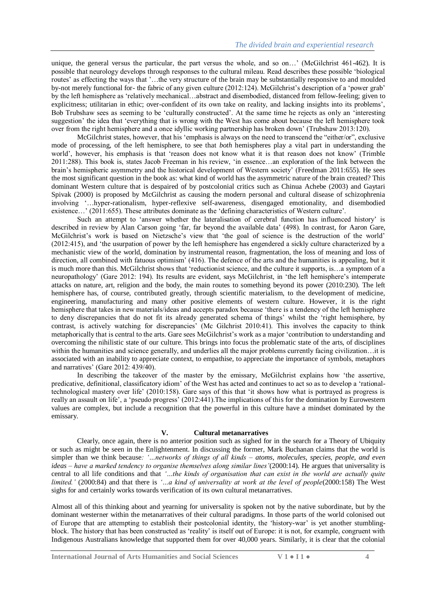unique, the general versus the particular, the part versus the whole, and so on…" (McGilchrist 461-462). It is possible that neurology develops through responses to the cultural mileau. Read describes these possible "biological routes' as effecting the ways that '...the very structure of the brain may be substantially responsive to and moulded by-not merely functional for- the fabric of any given culture (2012:124). McGilchrist"s description of a "power grab" by the left hemisphere as "relatively mechanical…abstract and disembodied, distanced from fellow-feeling; given to explicitness; utilitarian in ethic; over-confident of its own take on reality, and lacking insights into its problems", Bob Trubshaw sees as seeming to be "culturally constructed". At the same time he rejects as only an "interesting suggestion' the idea that 'everything that is wrong with the West has come about because the left hemisphere took over from the right hemisphere and a once idyllic working partnership has broken down" (Trubshaw 2013:120).

McGilchrist states, however, that his "emphasis is always on the need to transcend the "either/or", exclusive mode of processing, of the left hemisphere, to see that *both* hemispheres play a vital part in understanding the world', however, his emphasis is that 'reason does not know what it is that reason does not know' (Trimble 2011:288). This book is, states Jacob Freeman in his review, "in essence…an exploration of the link between the brain"s hemispheric asymmetry and the historical development of Western society" (Freedman 2011:655). He sees the most significant question in the book as: what kind of world has the asymmetric nature of the brain created? This dominant Western culture that is despaired of by postcolonial critics such as Chinua Achebe (2003) and Gaytari Spivak (2000) is proposed by McGilchrist as causing the modern personal and cultural disease of schizophrenia involving "…hyper-rationalism, hyper-reflexive self-awareness, disengaged emotionality, and disembodied existence...' (2011:655). These attributes dominate as the 'defining characteristics of Western culture'.

Such an attempt to 'answer whether the lateralisation of cerebral function has influenced history' is described in review by Alan Carson going 'far, far beyond the available data' (498). In contrast, for Aaron Gare, McGilchrist's work is based on Nietzsche's view that 'the goal of science is the destruction of the world' (2012:415), and "the usurpation of power by the left hemisphere has engendered a sickly culture characterized by a mechanistic view of the world, domination by instrumental reason, fragmentation, the loss of meaning and loss of direction, all combined with fatuous optimism' (416). The defence of the arts and the humanities is appealing, but it is much more than this. McGilchrist shows that "reductionist science, and the culture it supports, is…a symptom of a neuropathology" (Gare 2012: 194). Its results are evident, says McGilchrist, in "the left hemisphere"s intemperate attacks on nature, art, religion and the body, the main routes to something beyond its power (2010:230). The left hemisphere has, of course, contributed greatly, through scientific materialism, to the development of medicine, engineering, manufacturing and many other positive elements of western culture. However, it is the right hemisphere that takes in new materials/ideas and accepts paradox because "there is a tendency of the left hemisphere to deny discrepancies that do not fit its already generated schema of things" whilst the "right hemisphere, by contrast, is actively watching for discrepancies" (Mc Gilchrist 2010:41). This involves the capacity to think metaphorically that is central to the arts. Gare sees McGilchrist"s work as a major "contribution to understanding and overcoming the nihilistic state of our culture. This brings into focus the problematic state of the arts, of disciplines within the humanities and science generally, and underlies all the major problems currently facing civilization…it is associated with an inability to appreciate context, to empathise, to appreciate the importance of symbols, metaphors and narratives" (Gare 2012: 439/40).

In describing the takeover of the master by the emissary, McGilchrist explains how "the assertive, predicative, definitional, classificatory idiom" of the West has acted and continues to act so as to develop a "rationaltechnological mastery over life' (2010:158). Gare says of this that 'it shows how what is portrayed as progress is really an assault on life", a "pseudo progress" (2012:441).The implications of this for the domination by Eurowestern values are complex, but include a recognition that the powerful in this culture have a mindset dominated by the emissary.

#### **V. Cultural metanarratives**

Clearly, once again, there is no anterior position such as sighed for in the search for a Theory of Ubiquity or such as might be seen in the Enlightenment. In discussing the former, Mark Buchanan claims that the world is simpler than we think because*: '…networks of things of all kinds – atoms, molecules, species, people, and even ideas – have a marked tendency to organise themselves along similar lines'*(2000:14). He argues that universality is central to all life conditions and that *'…the kinds of organisation that can exist in the world are actually quite limited.'* (2000:84) and that there is *'...a kind of universality at work at the level of people*(2000:158) The West sighs for and certainly works towards verification of its own cultural metanarratives.

Almost all of this thinking about and yearning for universality is spoken not by the native subordinate, but by the dominant westerner within the metanarratives of their cultural paradigms. In those parts of the world colonised out of Europe that are attempting to establish their postcolonial identity, the "history-war" is yet another stumblingblock. The history that has been constructed as "reality" is itself out of Europe: it is not, for example, congruent with Indigenous Australians knowledge that supported them for over 40,000 years. Similarly, it is clear that the colonial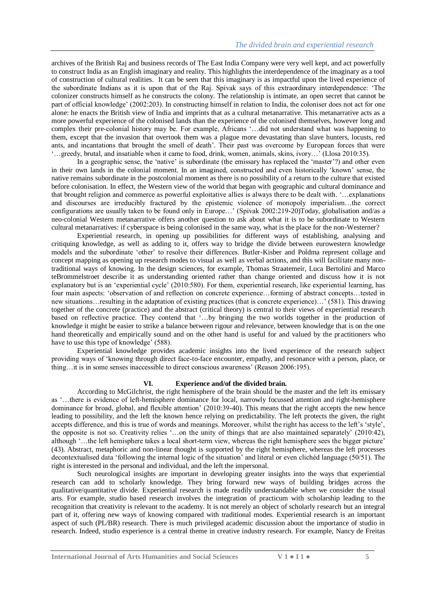archives of the British Raj and business records of The East India Company were very well kept, and act powerfully to construct India as an English imaginary and reality. This highlights the interdependence of the imaginary as a tool of construction of cultural realities. It can be seen that this imaginary is as impactful upon the lived experience of the subordinate Indians as it is upon that of the Raj. Spivak says of this extraordinary interdependence: "The colonizer constructs himself as he constructs the colony. The relationship is intimate, an open secret that cannot be part of official knowledge" (2002:203). In constructing himself in relation to India, the coloniser does not act for one alone: he enacts the British view of India and imprints that as a cultural metanarrative. This metanarrative acts as a more powerful experience of the colonised lands than the experience of the colonised themselves, however long and complex their pre-colonial history may be. For example, Africans "…did not understand what was happening to them, except that the invasion that overtook them was a plague more devastating than slave hunters, locusts, red ants, and incantations that brought the smell of death'. Their past was overcome by European forces that were "…greedy, brutal, and insatiable when it came to food, drink, women, animals, skins, ivory…" (Llosa 2010:35).

In a geographic sense, the "native" is subordinate (the emissary has replaced the "master"?) and other even in their own lands in the colonial moment. In an imagined, constructed and even historically "known" sense, the native remains subordinate in the postcolonial moment as there is no possibility of a return to the culture that existed before colonisation. In effect, the Western view of the world that began with geographic and cultural dominance and that brought religion and commerce as powerful exploitative allies is always there to be dealt with. "…explanations and discourses are irreducibly fractured by the epistemic violence of monopoly imperialism…the correct configurations are usually taken to be found only in Europe...' (Spivak 2002:219-20)Today, globalisation and/as a neo-colonial Western metanarrative offers another question to ask about what it is to be subordinate to Western cultural metanarratives: if cyberspace is being colonised in the same way, what is the place for the non-Westerner?

Experiential research, in opening up possibilities for different ways of establishing, analysing and critiquing knowledge, as well as adding to it, offers way to bridge the divide between eurowestern knowledge models and the subordinate "other" to resolve their differences. Butler-Kisber and Poldma represent collage and concept mapping as opening up research modes to visual as well as verbal actions, and this will facilitate many nontraditional ways of knowing. In the design sciences, for example, Thomas Straatemeir, Luca Bertolini and Marco teBrommelstroet describe it as understanding oriented rather than change oriented and discuss how it is not explanatory but is an "experiential cycle" (2010:580). For them, experiential research, like experiential learning, has four main aspects: "observation of and reflection on concrete experience…forming of abstract concepts…tested in new situations…resulting in the adaptation of existing practices (that is concrete experience)…' (581). This drawing together of the concrete (practice) and the abstract (critical theory) is central to their views of experiential research based on reflective practice. They contend that '...by bringing the two worlds together in the production of knowledge it might be easier to strike a balance between rigour and relevance, between knowledge that is on the one hand theoretically and empirically sound and on the other hand is useful for and valued by the practitioners who have to use this type of knowledge' (588).

Experiential knowledge provides academic insights into the lived experience of the research subject providing ways of "knowing through direct face-to-face encounter, empathy, and resonance with a person, place, or thing…it is in some senses inaccessible to direct conscious awareness" (Reason 2006:195).

# **VI. Experience and/of the divided brain.**

According to McGilchrist, the right hemisphere of the brain should be the master and the left its emissary as "…there is evidence of left-hemisphere dominance for local, narrowly focussed attention and right-hemisphere dominance for broad, global, and flexible attention' (2010:39-40). This means that the right accepts the new hence leading to possibility, and the left the known hence relying on predictability. The left protects the given, the right accepts difference, and this is true of words and meanings. Moreover, whilst the right has access to the left's 'style', the opposite is not so. Creativity relies "...on the unity of things that are also maintained separately" (2010:42), although "...the left hemisphere takes a local short-term view, whereas the right hemisphere sees the bigger picture" (43). Abstract, metaphoric and non-linear thought is supported by the right hemisphere, whereas the left processes decontextualised data "following the internal logic of the situation" and literal or even clichéd language (50/51). The right is interested in the personal and individual, and the left the impersonal.

Such neurological insights are important in developing greater insights into the ways that experiential research can add to scholarly knowledge. They bring forward new ways of building bridges across the qualitative/quantitative divide. Experiential research is made readily understandable when we consider the visual arts. For example, studio based research involves the integration of practicum with scholarship leading to the recognition that creativity is relevant to the academy. It is not merely an object of scholarly research but an integral part of it, offering new ways of knowing compared with traditional modes. Experiential research is an important aspect of such (PL/BR) research. There is much privileged academic discussion about the importance of studio in research. Indeed, studio experience is a central theme in creative industry research. For example, Nancy de Freitas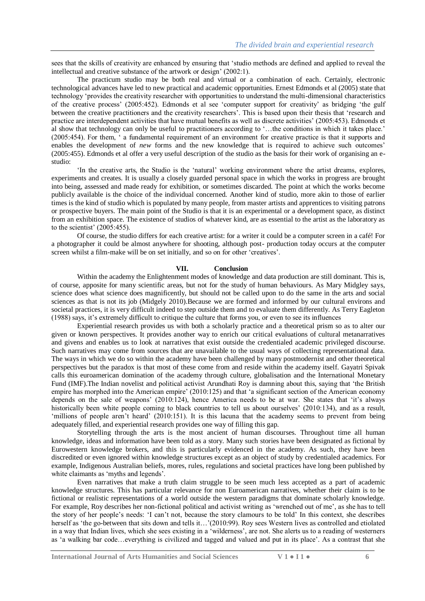sees that the skills of creativity are enhanced by ensuring that "studio methods are defined and applied to reveal the intellectual and creative substance of the artwork or design" (2002:1).

The practicum studio may be both real and virtual or a combination of each. Certainly, electronic technological advances have led to new practical and academic opportunities. Ernest Edmonds et al (2005) state that technology "provides the creativity researcher with opportunities to understand the multi-dimensional characteristics of the creative process" (2005:452). Edmonds et al see "computer support for creativity" as bridging "the gulf between the creative practitioners and the creativity researchers'. This is based upon their thesis that 'research and practice are interdependent activities that have mutual benefits as well as discrete activities' (2005:453). Edmonds et al show that technology can only be useful to practitioners according to "…the conditions in which it takes place." (2005:454). For them, " a fundamental requirement of an environment for creative practice is that it supports and enables the development of *new* forms and the new knowledge that is required to achieve such outcomes' (2005:455). Edmonds et al offer a very useful description of the studio as the basis for their work of organising an estudio:

"In the creative arts, the Studio is the "natural" working environment where the artist dreams, explores, experiments and creates. It is usually a closely guarded personal space in which the works in progress are brought into being, assessed and made ready for exhibition, or sometimes discarded. The point at which the works become publicly available is the choice of the individual concerned. Another kind of studio, more akin to those of earlier times is the kind of studio which is populated by many people, from master artists and apprentices to visiting patrons or prospective buyers. The main point of the Studio is that it is an experimental or a development space, as distinct from an exhibition space. The existence of studios of whatever kind, are as essential to the artist as the laboratory as to the scientist'  $(2005:455)$ .

Of course, the studio differs for each creative artist: for a writer it could be a computer screen in a café! For a photographer it could be almost anywhere for shooting, although post- production today occurs at the computer screen whilst a film-make will be on set initially, and so on for other "creatives".

#### **VII. Conclusion**

Within the academy the Enlightenment modes of knowledge and data production are still dominant. This is, of course, apposite for many scientific areas, but not for the study of human behaviours. As Mary Midgley says, science does what science does magnificently, but should not be called upon to do the same in the arts and social sciences as that is not its job (Midgely 2010).Because we are formed and informed by our cultural environs and societal practices, it is very difficult indeed to step outside them and to evaluate them differently. As Terry Eagleton (1988) says, it"s extremely difficult to critique the culture that forms you, or even to see its influences

Experiential research provides us with both a scholarly practice and a theoretical prism so as to alter our given or known perspectives. It provides another way to enrich our critical evaluations of cultural metanarratives and givens and enables us to look at narratives that exist outside the credentialed academic privileged discourse. Such narratives may come from sources that are unavailable to the usual ways of collecting representational data. The ways in which we do so within the academy have been challenged by many postmodernist and other theoretical perspectives but the paradox is that most of these come from and reside within the academy itself. Gayatri Spivak calls this euroamerican domination of the academy through culture, globalisation and the International Monetary Fund (IMF).The Indian novelist and political activist Arundhati Roy is damning about this, saying that "the British empire has morphed into the American empire' (2010:125) and that 'a significant section of the American economy depends on the sale of weapons' (2010:124), hence America needs to be at war. She states that 'it's always historically been white people coming to black countries to tell us about ourselves' (2010:134), and as a result, 'millions of people aren't heard' (2010:151). It is this lacuna that the academy seems to prevent from being adequately filled, and experiential research provides one way of filling this gap.

Storytelling through the arts is the most ancient of human discourses. Throughout time all human knowledge, ideas and information have been told as a story. Many such stories have been designated as fictional by Eurowestern knowledge brokers, and this is particularly evidenced in the academy. As such, they have been discredited or even ignored within knowledge structures except as an object of study by credentialed academics. For example, Indigenous Australian beliefs, mores, rules, regulations and societal practices have long been published by white claimants as 'myths and legends'.

Even narratives that make a truth claim struggle to be seen much less accepted as a part of academic knowledge structures. This has particular relevance for non Euroamerican narratives, whether their claim is to be fictional or realistic representations of a world outside the western paradigms that dominate scholarly knowledge. For example, Roy describes her non-fictional political and activist writing as "wrenched out of me", as she has to tell the story of her people"s needs: "I can"t not, because the story clamours to be told" In this context, she describes herself as 'the go-between that sits down and tells it...'(2010:99). Roy sees Western lives as controlled and etiolated in a way that Indian lives, which she sees existing in a "wilderness", are not. She alerts us to a reading of westerners as "a walking bar code…everything is civilized and tagged and valued and put in its place". As a contrast that she